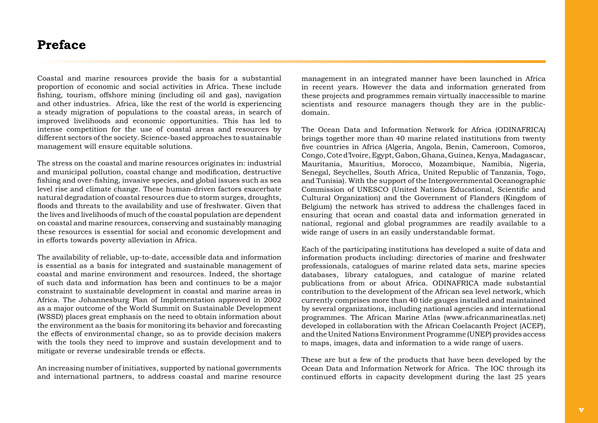## **Preface**

Coastal and marine resources provide the basis for a substantial proportion of economic and social activities in Africa. These include fishing, tourism, offshore mining (including oil and gas), navigation and other industries. Africa, like the rest of the world is experiencing a steady migration of populations to the coastal areas, in search of improved livelihoods and economic opportunities. This has led to intense competition for the use of coastal areas and resources by different sectors of the society. Science-based approaches to sustainable management will ensure equitable solutions.

The stress on the coastal and marine resources originates in: industrial and municipal pollution, coastal change and modification, destructive fishing and over-fishing, invasive species, and global issues such as sea level rise and climate change. These human-driven factors exacerbate natural degradation of coastal resources due to storm surges, droughts, floods and threats to the availability and use of freshwater. Given that the lives and livelihoods of much of the coastal population are dependent on coastal and marine resources, conserving and sustainably managing these resources is essential for social and economic development and in efforts towards poverty alleviation in Africa.

The availability of reliable, up-to-date, accessible data and information is essential as a basis for integrated and sustainable management of coastal and marine environment and resources. Indeed, the shortage of such data and information has been and continues to be a major constraint to sustainable development in coastal and marine areas in Africa. The Johannesburg Plan of Implementation approved in 2002 as a major outcome of the World Summit on Sustainable Development (WSSD) places great emphasis on the need to obtain information about the environment as the basis for monitoring its behavior and forecasting the effects of environmental change, so as to provide decision makers with the tools they need to improve and sustain development and to mitigate or reverse undesirable trends or effects.

An increasing number of initiatives, supported by national governments and international partners, to address coastal and marine resource management in an integrated manner have been launched in Africa in recent years. However the data and information generated from these projects and programmes remain virtually inaccessible to marine scientists and resource managers though they are in the publicdomain.

The Ocean Data and Information Network for Africa (ODINAFRICA) brings together more than 40 marine related institutions from twenty five countries in Africa (Algeria, Angola, Benin, Cameroon, Comoros, Congo, Cote d'Ivoire, Egypt, Gabon, Ghana, Guinea, Kenya, Madagascar, Mauritania, Mauritius, Morocco, Mozambique, Namibia, Nigeria, Senegal, Seychelles, South Africa, United Republic of Tanzania, Togo, and Tunisia). With the support of the Intergovernmental Oceanographic Commission of UNESCO (United Nations Educational, Scientific and Cultural Organization) and the Government of Flanders (Kingdom of Belgium) the network has strived to address the challenges faced in ensuring that ocean and coastal data and information generated in national, regional and global programmes are readily available to a wide range of users in an easily understandable format.

Each of the participating institutions has developed a suite of data and information products including: directories of marine and freshwater professionals, catalogues of marine related data sets, marine species databases, library catalogues, and catalogue of marine related publications from or about Africa. ODINAFRICA made substantial contribution to the development of the African sea level network, which currently comprises more than 40 tide gauges installed and maintained by several organizations, including national agencies and international programmes. The African Marine Atlas (www.africanmarineatlas.net) developed in collaboration with the African Coelacanth Project (ACEP), and the United Nations Environment Programme (UNEP) provides access to maps, images, data and information to a wide range of users.

These are but a few of the products that have been developed by the Ocean Data and Information Network for Africa. The IOC through its continued efforts in capacity development during the last 25 years